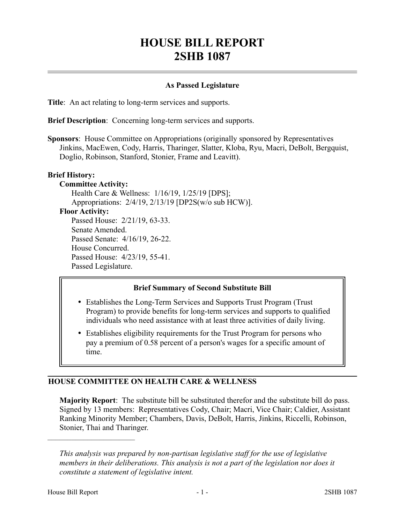# **HOUSE BILL REPORT 2SHB 1087**

## **As Passed Legislature**

**Title**: An act relating to long-term services and supports.

**Brief Description**: Concerning long-term services and supports.

**Sponsors**: House Committee on Appropriations (originally sponsored by Representatives Jinkins, MacEwen, Cody, Harris, Tharinger, Slatter, Kloba, Ryu, Macri, DeBolt, Bergquist, Doglio, Robinson, Stanford, Stonier, Frame and Leavitt).

## **Brief History:**

#### **Committee Activity:**

Health Care & Wellness: 1/16/19, 1/25/19 [DPS]; Appropriations: 2/4/19, 2/13/19 [DP2S(w/o sub HCW)].

#### **Floor Activity:**

Passed House: 2/21/19, 63-33. Senate Amended. Passed Senate: 4/16/19, 26-22. House Concurred. Passed House: 4/23/19, 55-41. Passed Legislature.

## **Brief Summary of Second Substitute Bill**

- Establishes the Long-Term Services and Supports Trust Program (Trust Program) to provide benefits for long-term services and supports to qualified individuals who need assistance with at least three activities of daily living.
- Establishes eligibility requirements for the Trust Program for persons who pay a premium of 0.58 percent of a person's wages for a specific amount of time.

# **HOUSE COMMITTEE ON HEALTH CARE & WELLNESS**

**Majority Report**: The substitute bill be substituted therefor and the substitute bill do pass. Signed by 13 members: Representatives Cody, Chair; Macri, Vice Chair; Caldier, Assistant Ranking Minority Member; Chambers, Davis, DeBolt, Harris, Jinkins, Riccelli, Robinson, Stonier, Thai and Tharinger.

––––––––––––––––––––––

*This analysis was prepared by non-partisan legislative staff for the use of legislative members in their deliberations. This analysis is not a part of the legislation nor does it constitute a statement of legislative intent.*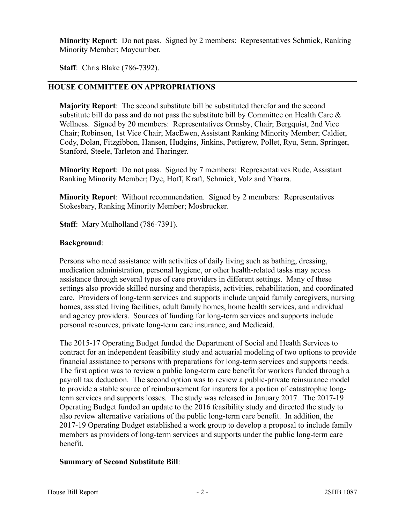**Minority Report**: Do not pass. Signed by 2 members: Representatives Schmick, Ranking Minority Member; Maycumber.

**Staff**: Chris Blake (786-7392).

# **HOUSE COMMITTEE ON APPROPRIATIONS**

**Majority Report**: The second substitute bill be substituted therefor and the second substitute bill do pass and do not pass the substitute bill by Committee on Health Care  $\&$ Wellness. Signed by 20 members: Representatives Ormsby, Chair; Bergquist, 2nd Vice Chair; Robinson, 1st Vice Chair; MacEwen, Assistant Ranking Minority Member; Caldier, Cody, Dolan, Fitzgibbon, Hansen, Hudgins, Jinkins, Pettigrew, Pollet, Ryu, Senn, Springer, Stanford, Steele, Tarleton and Tharinger.

**Minority Report**: Do not pass. Signed by 7 members: Representatives Rude, Assistant Ranking Minority Member; Dye, Hoff, Kraft, Schmick, Volz and Ybarra.

**Minority Report**: Without recommendation. Signed by 2 members: Representatives Stokesbary, Ranking Minority Member; Mosbrucker.

**Staff**: Mary Mulholland (786-7391).

## **Background**:

Persons who need assistance with activities of daily living such as bathing, dressing, medication administration, personal hygiene, or other health-related tasks may access assistance through several types of care providers in different settings. Many of these settings also provide skilled nursing and therapists, activities, rehabilitation, and coordinated care. Providers of long-term services and supports include unpaid family caregivers, nursing homes, assisted living facilities, adult family homes, home health services, and individual and agency providers. Sources of funding for long-term services and supports include personal resources, private long-term care insurance, and Medicaid.

The 2015-17 Operating Budget funded the Department of Social and Health Services to contract for an independent feasibility study and actuarial modeling of two options to provide financial assistance to persons with preparations for long-term services and supports needs. The first option was to review a public long-term care benefit for workers funded through a payroll tax deduction. The second option was to review a public-private reinsurance model to provide a stable source of reimbursement for insurers for a portion of catastrophic longterm services and supports losses. The study was released in January 2017. The 2017-19 Operating Budget funded an update to the 2016 feasibility study and directed the study to also review alternative variations of the public long-term care benefit. In addition, the 2017-19 Operating Budget established a work group to develop a proposal to include family members as providers of long-term services and supports under the public long-term care benefit.

# **Summary of Second Substitute Bill**: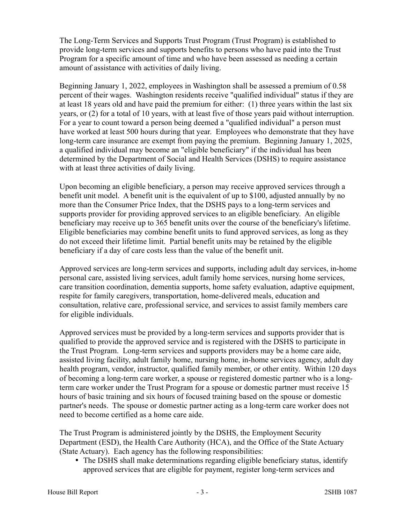The Long-Term Services and Supports Trust Program (Trust Program) is established to provide long-term services and supports benefits to persons who have paid into the Trust Program for a specific amount of time and who have been assessed as needing a certain amount of assistance with activities of daily living.

Beginning January 1, 2022, employees in Washington shall be assessed a premium of 0.58 percent of their wages. Washington residents receive "qualified individual" status if they are at least 18 years old and have paid the premium for either: (1) three years within the last six years, or (2) for a total of 10 years, with at least five of those years paid without interruption. For a year to count toward a person being deemed a "qualified individual" a person must have worked at least 500 hours during that year. Employees who demonstrate that they have long-term care insurance are exempt from paying the premium. Beginning January 1, 2025, a qualified individual may become an "eligible beneficiary" if the individual has been determined by the Department of Social and Health Services (DSHS) to require assistance with at least three activities of daily living.

Upon becoming an eligible beneficiary, a person may receive approved services through a benefit unit model. A benefit unit is the equivalent of up to \$100, adjusted annually by no more than the Consumer Price Index, that the DSHS pays to a long-term services and supports provider for providing approved services to an eligible beneficiary. An eligible beneficiary may receive up to 365 benefit units over the course of the beneficiary's lifetime. Eligible beneficiaries may combine benefit units to fund approved services, as long as they do not exceed their lifetime limit. Partial benefit units may be retained by the eligible beneficiary if a day of care costs less than the value of the benefit unit.

Approved services are long-term services and supports, including adult day services, in-home personal care, assisted living services, adult family home services, nursing home services, care transition coordination, dementia supports, home safety evaluation, adaptive equipment, respite for family caregivers, transportation, home-delivered meals, education and consultation, relative care, professional service, and services to assist family members care for eligible individuals.

Approved services must be provided by a long-term services and supports provider that is qualified to provide the approved service and is registered with the DSHS to participate in the Trust Program. Long-term services and supports providers may be a home care aide, assisted living facility, adult family home, nursing home, in-home services agency, adult day health program, vendor, instructor, qualified family member, or other entity. Within 120 days of becoming a long-term care worker, a spouse or registered domestic partner who is a longterm care worker under the Trust Program for a spouse or domestic partner must receive 15 hours of basic training and six hours of focused training based on the spouse or domestic partner's needs. The spouse or domestic partner acting as a long-term care worker does not need to become certified as a home care aide.

The Trust Program is administered jointly by the DSHS, the Employment Security Department (ESD), the Health Care Authority (HCA), and the Office of the State Actuary (State Actuary). Each agency has the following responsibilities:

• The DSHS shall make determinations regarding eligible beneficiary status, identify approved services that are eligible for payment, register long-term services and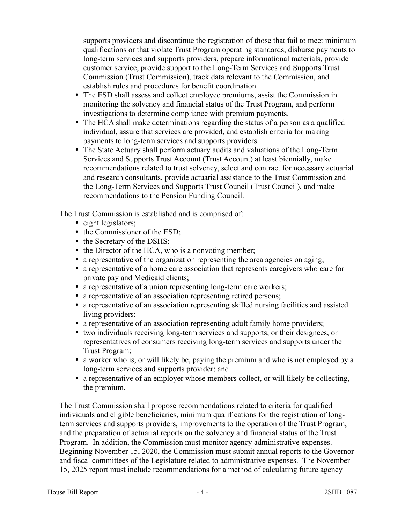supports providers and discontinue the registration of those that fail to meet minimum qualifications or that violate Trust Program operating standards, disburse payments to long-term services and supports providers, prepare informational materials, provide customer service, provide support to the Long-Term Services and Supports Trust Commission (Trust Commission), track data relevant to the Commission, and establish rules and procedures for benefit coordination.

- The ESD shall assess and collect employee premiums, assist the Commission in monitoring the solvency and financial status of the Trust Program, and perform investigations to determine compliance with premium payments.
- The HCA shall make determinations regarding the status of a person as a qualified individual, assure that services are provided, and establish criteria for making payments to long-term services and supports providers.
- The State Actuary shall perform actuary audits and valuations of the Long-Term Services and Supports Trust Account (Trust Account) at least biennially, make recommendations related to trust solvency, select and contract for necessary actuarial and research consultants, provide actuarial assistance to the Trust Commission and the Long-Term Services and Supports Trust Council (Trust Council), and make recommendations to the Pension Funding Council.

The Trust Commission is established and is comprised of:

- eight legislators;
- the Commissioner of the ESD;
- the Secretary of the DSHS;
- the Director of the HCA, who is a nonvoting member;
- a representative of the organization representing the area agencies on aging;
- a representative of a home care association that represents caregivers who care for private pay and Medicaid clients;
- a representative of a union representing long-term care workers;
- a representative of an association representing retired persons;
- a representative of an association representing skilled nursing facilities and assisted living providers;
- a representative of an association representing adult family home providers;
- two individuals receiving long-term services and supports, or their designees, or representatives of consumers receiving long-term services and supports under the Trust Program;
- a worker who is, or will likely be, paying the premium and who is not employed by a long-term services and supports provider; and
- a representative of an employer whose members collect, or will likely be collecting, the premium.

The Trust Commission shall propose recommendations related to criteria for qualified individuals and eligible beneficiaries, minimum qualifications for the registration of longterm services and supports providers, improvements to the operation of the Trust Program, and the preparation of actuarial reports on the solvency and financial status of the Trust Program. In addition, the Commission must monitor agency administrative expenses. Beginning November 15, 2020, the Commission must submit annual reports to the Governor and fiscal committees of the Legislature related to administrative expenses. The November 15, 2025 report must include recommendations for a method of calculating future agency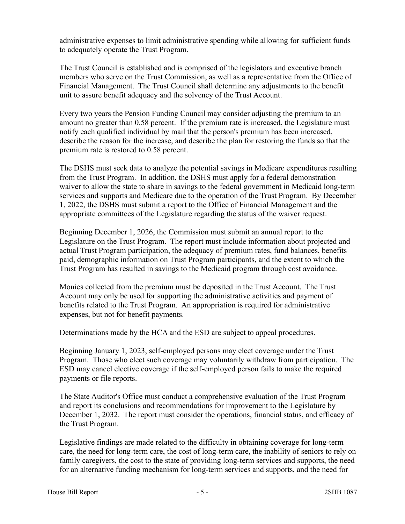administrative expenses to limit administrative spending while allowing for sufficient funds to adequately operate the Trust Program.

The Trust Council is established and is comprised of the legislators and executive branch members who serve on the Trust Commission, as well as a representative from the Office of Financial Management. The Trust Council shall determine any adjustments to the benefit unit to assure benefit adequacy and the solvency of the Trust Account.

Every two years the Pension Funding Council may consider adjusting the premium to an amount no greater than 0.58 percent. If the premium rate is increased, the Legislature must notify each qualified individual by mail that the person's premium has been increased, describe the reason for the increase, and describe the plan for restoring the funds so that the premium rate is restored to 0.58 percent.

The DSHS must seek data to analyze the potential savings in Medicare expenditures resulting from the Trust Program. In addition, the DSHS must apply for a federal demonstration waiver to allow the state to share in savings to the federal government in Medicaid long-term services and supports and Medicare due to the operation of the Trust Program. By December 1, 2022, the DSHS must submit a report to the Office of Financial Management and the appropriate committees of the Legislature regarding the status of the waiver request.

Beginning December 1, 2026, the Commission must submit an annual report to the Legislature on the Trust Program. The report must include information about projected and actual Trust Program participation, the adequacy of premium rates, fund balances, benefits paid, demographic information on Trust Program participants, and the extent to which the Trust Program has resulted in savings to the Medicaid program through cost avoidance.

Monies collected from the premium must be deposited in the Trust Account. The Trust Account may only be used for supporting the administrative activities and payment of benefits related to the Trust Program. An appropriation is required for administrative expenses, but not for benefit payments.

Determinations made by the HCA and the ESD are subject to appeal procedures.

Beginning January 1, 2023, self-employed persons may elect coverage under the Trust Program. Those who elect such coverage may voluntarily withdraw from participation. The ESD may cancel elective coverage if the self-employed person fails to make the required payments or file reports.

The State Auditor's Office must conduct a comprehensive evaluation of the Trust Program and report its conclusions and recommendations for improvement to the Legislature by December 1, 2032. The report must consider the operations, financial status, and efficacy of the Trust Program.

Legislative findings are made related to the difficulty in obtaining coverage for long-term care, the need for long-term care, the cost of long-term care, the inability of seniors to rely on family caregivers, the cost to the state of providing long-term services and supports, the need for an alternative funding mechanism for long-term services and supports, and the need for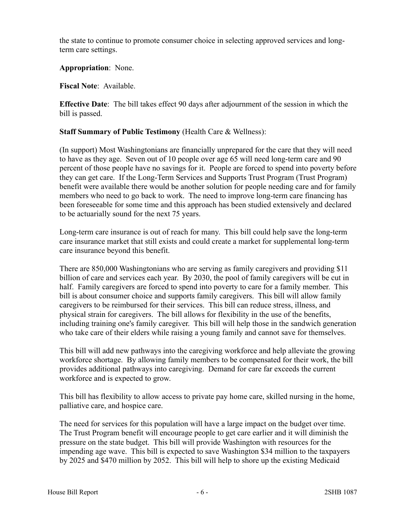the state to continue to promote consumer choice in selecting approved services and longterm care settings.

**Appropriation**: None.

**Fiscal Note**: Available.

**Effective Date**: The bill takes effect 90 days after adjournment of the session in which the bill is passed.

**Staff Summary of Public Testimony** (Health Care & Wellness):

(In support) Most Washingtonians are financially unprepared for the care that they will need to have as they age. Seven out of 10 people over age 65 will need long-term care and 90 percent of those people have no savings for it. People are forced to spend into poverty before they can get care. If the Long-Term Services and Supports Trust Program (Trust Program) benefit were available there would be another solution for people needing care and for family members who need to go back to work. The need to improve long-term care financing has been foreseeable for some time and this approach has been studied extensively and declared to be actuarially sound for the next 75 years.

Long-term care insurance is out of reach for many. This bill could help save the long-term care insurance market that still exists and could create a market for supplemental long-term care insurance beyond this benefit.

There are 850,000 Washingtonians who are serving as family caregivers and providing \$11 billion of care and services each year. By 2030, the pool of family caregivers will be cut in half. Family caregivers are forced to spend into poverty to care for a family member. This bill is about consumer choice and supports family caregivers. This bill will allow family caregivers to be reimbursed for their services. This bill can reduce stress, illness, and physical strain for caregivers. The bill allows for flexibility in the use of the benefits, including training one's family caregiver. This bill will help those in the sandwich generation who take care of their elders while raising a young family and cannot save for themselves.

This bill will add new pathways into the caregiving workforce and help alleviate the growing workforce shortage. By allowing family members to be compensated for their work, the bill provides additional pathways into caregiving. Demand for care far exceeds the current workforce and is expected to grow.

This bill has flexibility to allow access to private pay home care, skilled nursing in the home, palliative care, and hospice care.

The need for services for this population will have a large impact on the budget over time. The Trust Program benefit will encourage people to get care earlier and it will diminish the pressure on the state budget. This bill will provide Washington with resources for the impending age wave. This bill is expected to save Washington \$34 million to the taxpayers by 2025 and \$470 million by 2052. This bill will help to shore up the existing Medicaid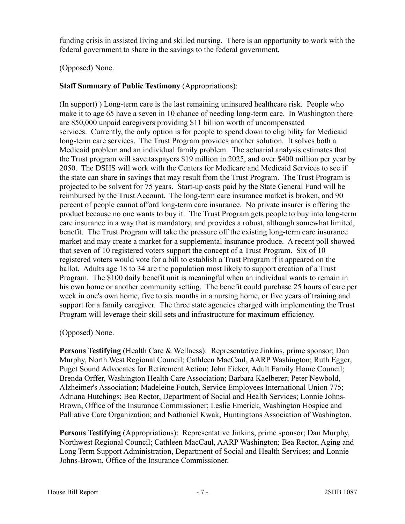funding crisis in assisted living and skilled nursing. There is an opportunity to work with the federal government to share in the savings to the federal government.

# (Opposed) None.

# **Staff Summary of Public Testimony** (Appropriations):

(In support) ) Long-term care is the last remaining uninsured healthcare risk. People who make it to age 65 have a seven in 10 chance of needing long-term care. In Washington there are 850,000 unpaid caregivers providing \$11 billion worth of uncompensated services. Currently, the only option is for people to spend down to eligibility for Medicaid long-term care services. The Trust Program provides another solution. It solves both a Medicaid problem and an individual family problem. The actuarial analysis estimates that the Trust program will save taxpayers \$19 million in 2025, and over \$400 million per year by 2050. The DSHS will work with the Centers for Medicare and Medicaid Services to see if the state can share in savings that may result from the Trust Program. The Trust Program is projected to be solvent for 75 years. Start-up costs paid by the State General Fund will be reimbursed by the Trust Account. The long-term care insurance market is broken, and 90 percent of people cannot afford long-term care insurance. No private insurer is offering the product because no one wants to buy it. The Trust Program gets people to buy into long-term care insurance in a way that is mandatory, and provides a robust, although somewhat limited, benefit. The Trust Program will take the pressure off the existing long-term care insurance market and may create a market for a supplemental insurance produce. A recent poll showed that seven of 10 registered voters support the concept of a Trust Program. Six of 10 registered voters would vote for a bill to establish a Trust Program if it appeared on the ballot. Adults age 18 to 34 are the population most likely to support creation of a Trust Program. The \$100 daily benefit unit is meaningful when an individual wants to remain in his own home or another community setting. The benefit could purchase 25 hours of care per week in one's own home, five to six months in a nursing home, or five years of training and support for a family caregiver. The three state agencies charged with implementing the Trust Program will leverage their skill sets and infrastructure for maximum efficiency.

# (Opposed) None.

**Persons Testifying** (Health Care & Wellness): Representative Jinkins, prime sponsor; Dan Murphy, North West Regional Council; Cathleen MacCaul, AARP Washington; Ruth Egger, Puget Sound Advocates for Retirement Action; John Ficker, Adult Family Home Council; Brenda Orffer, Washington Health Care Association; Barbara Kaelberer; Peter Newbold, Alzheimer's Association; Madeleine Foutch, Service Employees International Union 775; Adriana Hutchings; Bea Rector, Department of Social and Health Services; Lonnie Johns-Brown, Office of the Insurance Commissioner; Leslie Emerick, Washington Hospice and Palliative Care Organization; and Nathaniel Kwak, Huntingtons Association of Washington.

**Persons Testifying** (Appropriations): Representative Jinkins, prime sponsor; Dan Murphy, Northwest Regional Council; Cathleen MacCaul, AARP Washington; Bea Rector, Aging and Long Term Support Administration, Department of Social and Health Services; and Lonnie Johns-Brown, Office of the Insurance Commissioner.